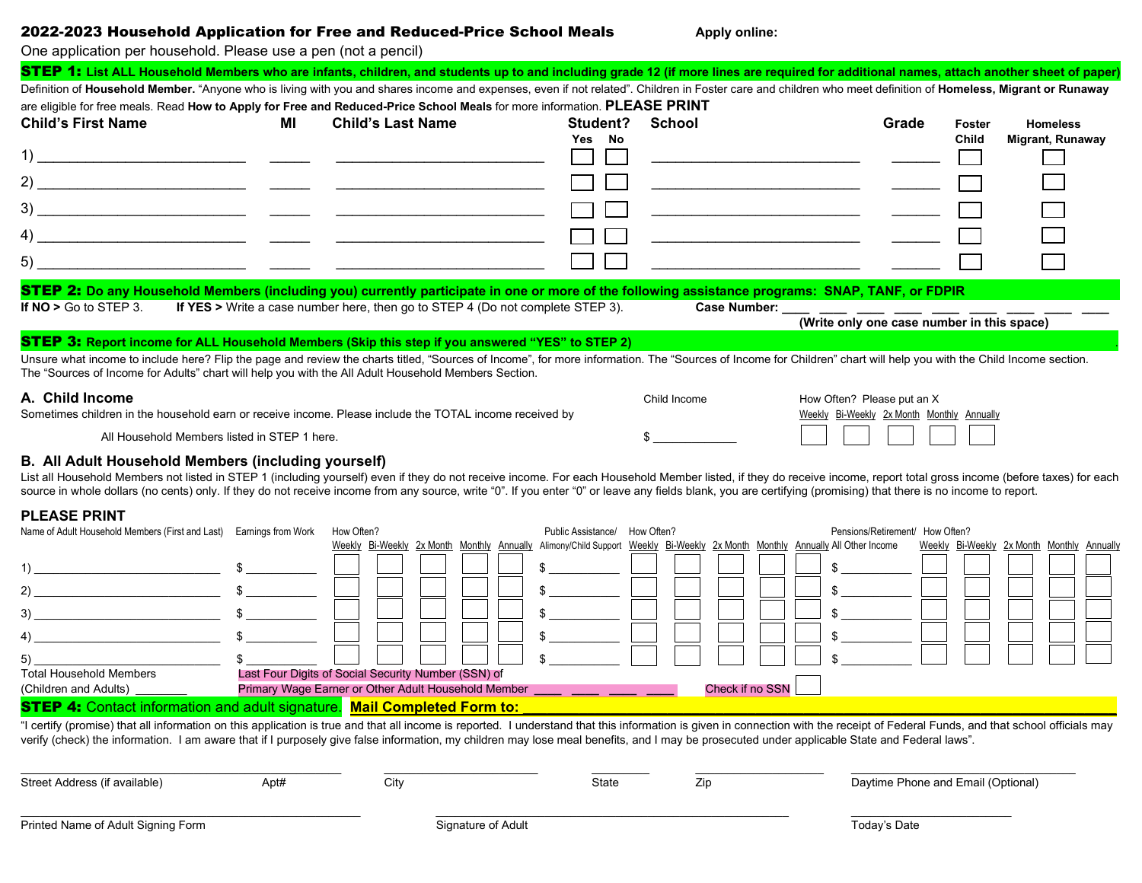## 2022-2023 Household Application for Free and Reduced-Price School Meals **Apply online:**

| One application per household. Please use a pen (not a pencil)                                                                                                                                                                                                                                                                                                                                                                                                                                     |      |                                                                                                                                                                                              |                    |                 |                                                                                             |                                                               |  |
|----------------------------------------------------------------------------------------------------------------------------------------------------------------------------------------------------------------------------------------------------------------------------------------------------------------------------------------------------------------------------------------------------------------------------------------------------------------------------------------------------|------|----------------------------------------------------------------------------------------------------------------------------------------------------------------------------------------------|--------------------|-----------------|---------------------------------------------------------------------------------------------|---------------------------------------------------------------|--|
| STEP 1: List ALL Household Members who are infants, children, and students up to and including grade 12 (if more lines are required for additional names, attach another sheet of paper)                                                                                                                                                                                                                                                                                                           |      |                                                                                                                                                                                              |                    |                 |                                                                                             |                                                               |  |
| Definition of Household Member. "Anyone who is living with you and shares income and expenses, even if not related". Children in Foster care and children who meet definition of Homeless, Migrant or Runaway                                                                                                                                                                                                                                                                                      |      |                                                                                                                                                                                              |                    |                 |                                                                                             |                                                               |  |
| are eligible for free meals. Read How to Apply for Free and Reduced-Price School Meals for more information. PLEASE PRINT                                                                                                                                                                                                                                                                                                                                                                          |      |                                                                                                                                                                                              |                    |                 |                                                                                             |                                                               |  |
| <b>Child's First Name</b>                                                                                                                                                                                                                                                                                                                                                                                                                                                                          | MI   | <b>Child's Last Name</b>                                                                                                                                                                     | Student?<br>Yes No | <b>School</b>   | Grade                                                                                       | <b>Homeless</b><br>Foster<br>Child<br><b>Migrant, Runaway</b> |  |
|                                                                                                                                                                                                                                                                                                                                                                                                                                                                                                    |      |                                                                                                                                                                                              |                    |                 |                                                                                             |                                                               |  |
|                                                                                                                                                                                                                                                                                                                                                                                                                                                                                                    |      |                                                                                                                                                                                              |                    |                 |                                                                                             |                                                               |  |
|                                                                                                                                                                                                                                                                                                                                                                                                                                                                                                    |      |                                                                                                                                                                                              |                    |                 |                                                                                             |                                                               |  |
|                                                                                                                                                                                                                                                                                                                                                                                                                                                                                                    |      |                                                                                                                                                                                              |                    |                 |                                                                                             |                                                               |  |
| 5)                                                                                                                                                                                                                                                                                                                                                                                                                                                                                                 |      |                                                                                                                                                                                              |                    |                 |                                                                                             |                                                               |  |
| STEP 2: Do any Household Members (including you) currently participate in one or more of the following assistance programs: SNAP, TANF, or FDPIR                                                                                                                                                                                                                                                                                                                                                   |      |                                                                                                                                                                                              |                    |                 |                                                                                             |                                                               |  |
| If $NO > Go$ to STEP 3.                                                                                                                                                                                                                                                                                                                                                                                                                                                                            |      | If YES > Write a case number here, then go to STEP 4 (Do not complete STEP 3).                                                                                                               |                    |                 | Case Number: ____ ___ ___ ___ ___ ___ ___ ___<br>(Write only one case number in this space) |                                                               |  |
| <b>STEP 3:</b> Report income for ALL Household Members (Skip this step if you answered "YES" to STEP 2)                                                                                                                                                                                                                                                                                                                                                                                            |      |                                                                                                                                                                                              |                    |                 |                                                                                             |                                                               |  |
| Unsure what income to include here? Flip the page and review the charts titled, "Sources of Income", for more information. The "Sources of Income for Children" chart will help you with the Child Income section.                                                                                                                                                                                                                                                                                 |      |                                                                                                                                                                                              |                    |                 |                                                                                             |                                                               |  |
| The "Sources of Income for Adults" chart will help you with the All Adult Household Members Section.                                                                                                                                                                                                                                                                                                                                                                                               |      |                                                                                                                                                                                              |                    |                 |                                                                                             |                                                               |  |
| A. Child Income                                                                                                                                                                                                                                                                                                                                                                                                                                                                                    |      |                                                                                                                                                                                              |                    | Child Income    |                                                                                             | How Often? Please put an X                                    |  |
| Sometimes children in the household earn or receive income. Please include the TOTAL income received by                                                                                                                                                                                                                                                                                                                                                                                            |      |                                                                                                                                                                                              |                    |                 | Weekly Bi-Weekly 2x Month Monthly Annually                                                  |                                                               |  |
| All Household Members listed in STEP 1 here.                                                                                                                                                                                                                                                                                                                                                                                                                                                       |      |                                                                                                                                                                                              |                    | $\mathbb{S}$    |                                                                                             |                                                               |  |
| B. All Adult Household Members (including yourself)<br>List all Household Members not listed in STEP 1 (including yourself) even if they do not receive income. For each Household Member listed, if they do receive income, report total gross income (before taxes) for each<br>source in whole dollars (no cents) only. If they do not receive income from any source, write "0". If you enter "0" or leave any fields blank, you are certifying (promising) that there is no income to report. |      |                                                                                                                                                                                              |                    |                 |                                                                                             |                                                               |  |
| <b>PLEASE PRINT</b>                                                                                                                                                                                                                                                                                                                                                                                                                                                                                |      |                                                                                                                                                                                              |                    |                 |                                                                                             |                                                               |  |
| Name of Adult Household Members (First and Last) Earnings from Work                                                                                                                                                                                                                                                                                                                                                                                                                                |      | How Often?<br>Weekly Bi-Weekly 2x Month Monthly Annually Alimony/Child Support Weekly Bi-Weekly 2x Month Monthly Annually All Other Income                                                   | Public Assistance/ | How Often?      | Pensions/Retirement/ How Often?                                                             | Weekly Bi-Weekly 2x Month Monthly Annually                    |  |
|                                                                                                                                                                                                                                                                                                                                                                                                                                                                                                    |      |                                                                                                                                                                                              |                    |                 |                                                                                             |                                                               |  |
|                                                                                                                                                                                                                                                                                                                                                                                                                                                                                                    |      |                                                                                                                                                                                              |                    |                 |                                                                                             |                                                               |  |
| $\infty$ $\infty$ $\infty$ $\infty$ $\infty$ $\infty$ $\infty$ $\infty$ $\infty$ $\infty$ $\infty$ $\infty$ $\infty$ $\infty$ $\infty$ $\infty$ $\infty$ $\infty$ $\infty$ $\infty$ $\infty$ $\infty$ $\infty$ $\infty$ $\infty$ $\infty$ $\infty$ $\infty$ $\infty$ $\infty$ $\infty$ $\infty$ $\infty$ $\infty$ $\infty$ $\infty$ $\infty$                                                                                                                                                       |      |                                                                                                                                                                                              | $\frac{1}{2}$      |                 |                                                                                             |                                                               |  |
| 4)                                                                                                                                                                                                                                                                                                                                                                                                                                                                                                 |      |                                                                                                                                                                                              |                    |                 |                                                                                             |                                                               |  |
|                                                                                                                                                                                                                                                                                                                                                                                                                                                                                                    |      |                                                                                                                                                                                              |                    |                 |                                                                                             |                                                               |  |
| <b>Total Household Members</b>                                                                                                                                                                                                                                                                                                                                                                                                                                                                     |      | Last Four Digits of Social Security Number (SSN) of                                                                                                                                          |                    |                 |                                                                                             |                                                               |  |
| (Children and Adults)                                                                                                                                                                                                                                                                                                                                                                                                                                                                              |      | Primary Wage Earner or Other Adult Household Member                                                                                                                                          |                    | Check if no SSN |                                                                                             |                                                               |  |
| <b>STEP 4:</b> Contact information and adult signature. Mail Completed Form to:                                                                                                                                                                                                                                                                                                                                                                                                                    |      |                                                                                                                                                                                              |                    |                 |                                                                                             |                                                               |  |
| "I certify (promise) that all information on this application is true and that all income is reported. I understand that this information is given in connection with the receipt of Federal Funds, and that school officials                                                                                                                                                                                                                                                                      |      | verify (check) the information. I am aware that if I purposely give false information, my children may lose meal benefits, and I may be prosecuted under applicable State and Federal laws". |                    |                 |                                                                                             |                                                               |  |
| Street Address (if available)                                                                                                                                                                                                                                                                                                                                                                                                                                                                      |      |                                                                                                                                                                                              | State              |                 |                                                                                             | Daytime Phone and Email (Optional)                            |  |
|                                                                                                                                                                                                                                                                                                                                                                                                                                                                                                    | Apt# | City                                                                                                                                                                                         |                    | Zip             |                                                                                             |                                                               |  |
| Printed Name of Adult Signing Form                                                                                                                                                                                                                                                                                                                                                                                                                                                                 |      | Signature of Adult                                                                                                                                                                           |                    |                 | Today's Date                                                                                |                                                               |  |